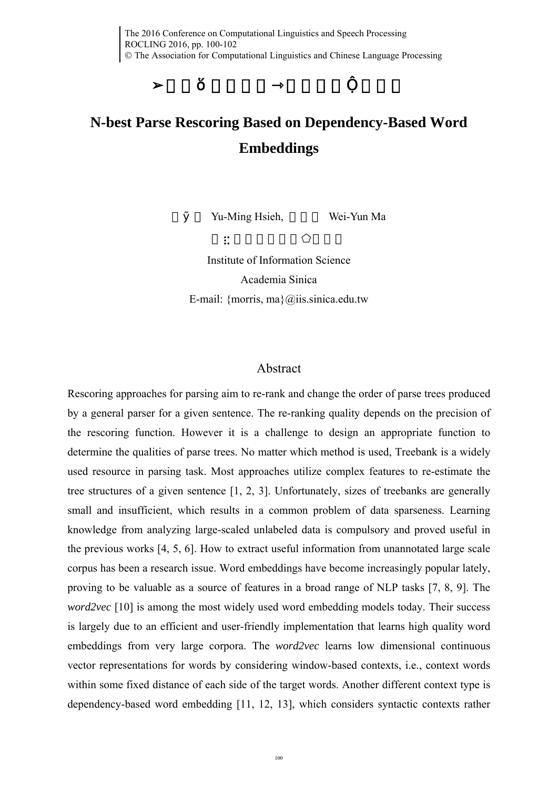## **N-best Parse Rescoring Based on Dependency-Based Word Embeddings**

Yu-Ming Hsieh, Wei-Yun Ma

Institute of Information Science Academia Sinica E-mail: {morris, ma} $@$ iis.sinica.edu.tw

## Abstract

Rescoring approaches for parsing aim to re-rank and change the order of parse trees produced by a general parser for a given sentence. The re-ranking quality depends on the precision of the rescoring function. However it is a challenge to design an appropriate function to determine the qualities of parse trees. No matter which method is used, Treebank is a widely used resource in parsing task. Most approaches utilize complex features to re-estimate the tree structures of a given sentence [1, 2, 3]. Unfortunately, sizes of treebanks are generally small and insufficient, which results in a common problem of data sparseness. Learning knowledge from analyzing large-scaled unlabeled data is compulsory and proved useful in the previous works [4, 5, 6]. How to extract useful information from unannotated large scale corpus has been a research issue. Word embeddings have become increasingly popular lately, proving to be valuable as a source of features in a broad range of NLP tasks [7, 8, 9]. The *word2vec* [10] is among the most widely used word embedding models today. Their success is largely due to an efficient and user-friendly implementation that learns high quality word embeddings from very large corpora. The *word2vec* learns low dimensional continuous vector representations for words by considering window-based contexts, i.e., context words within some fixed distance of each side of the target words. Another different context type is dependency-based word embedding [11, 12, 13], which considers syntactic contexts rather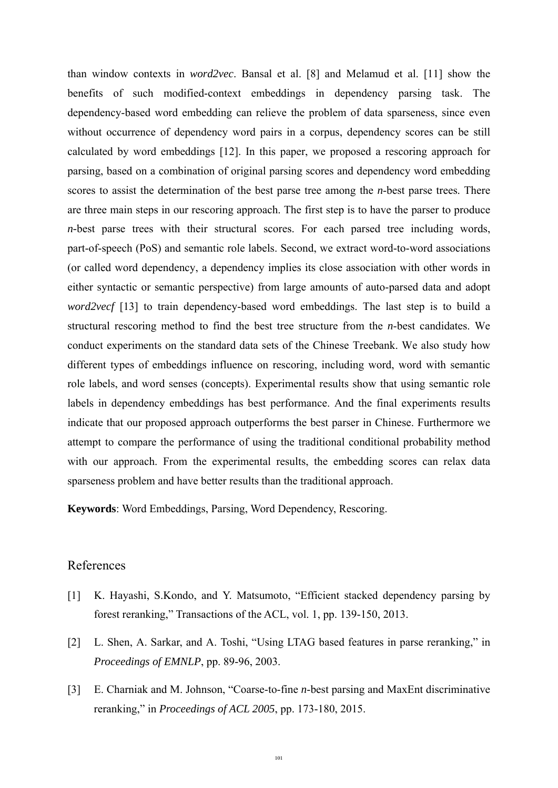than window contexts in *word2vec*. Bansal et al. [8] and Melamud et al. [11] show the benefits of such modified-context embeddings in dependency parsing task. The dependency-based word embedding can relieve the problem of data sparseness, since even without occurrence of dependency word pairs in a corpus, dependency scores can be still calculated by word embeddings [12]. In this paper, we proposed a rescoring approach for parsing, based on a combination of original parsing scores and dependency word embedding scores to assist the determination of the best parse tree among the *n*-best parse trees. There are three main steps in our rescoring approach. The first step is to have the parser to produce *n-*best parse trees with their structural scores. For each parsed tree including words, part-of-speech (PoS) and semantic role labels. Second, we extract word-to-word associations (or called word dependency, a dependency implies its close association with other words in either syntactic or semantic perspective) from large amounts of auto-parsed data and adopt *word2vecf* [13] to train dependency-based word embeddings. The last step is to build a structural rescoring method to find the best tree structure from the *n*-best candidates. We conduct experiments on the standard data sets of the Chinese Treebank. We also study how different types of embeddings influence on rescoring, including word, word with semantic role labels, and word senses (concepts). Experimental results show that using semantic role labels in dependency embeddings has best performance. And the final experiments results indicate that our proposed approach outperforms the best parser in Chinese. Furthermore we attempt to compare the performance of using the traditional conditional probability method with our approach. From the experimental results, the embedding scores can relax data sparseness problem and have better results than the traditional approach.

**Keywords**: Word Embeddings, Parsing, Word Dependency, Rescoring.

## References

- [1] K. Hayashi, S.Kondo, and Y. Matsumoto, "Efficient stacked dependency parsing by forest reranking," Transactions of the ACL, vol. 1, pp. 139-150, 2013.
- [2] L. Shen, A. Sarkar, and A. Toshi, "Using LTAG based features in parse reranking," in *Proceedings of EMNLP*, pp. 89-96, 2003.
- [3] E. Charniak and M. Johnson, "Coarse-to-fine *n*-best parsing and MaxEnt discriminative reranking," in *Proceedings of ACL 2005*, pp. 173-180, 2015.